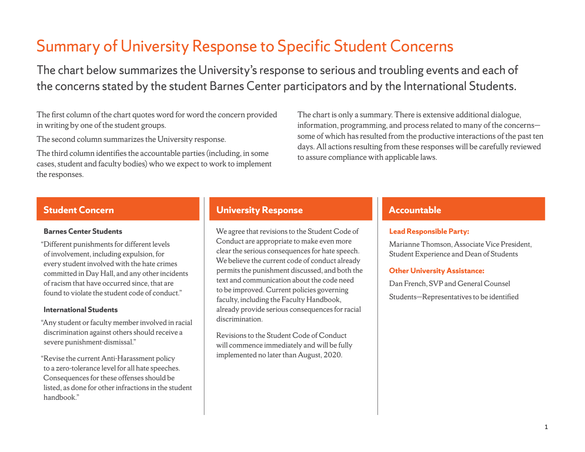# Summary of University Response to Specific Student Concerns

The chart below summarizes the University's response to serious and troubling events and each of the concerns stated by the student Barnes Center participators and by the International Students.

The first column of the chart quotes word for word the concern provided in writing by one of the student groups.

The second column summarizes the University response.

The third column identifies the accountable parties (including, in some cases, student and faculty bodies) who we expect to work to implement the responses.

The chart is only a summary. There is extensive additional dialogue, information, programming, and process related to many of the concerns some of which has resulted from the productive interactions of the past ten days. All actions resulting from these responses will be carefully reviewed to assure compliance with applicable laws.

### **Barnes Center Students**

"Different punishments for different levels of involvement, including expulsion, for every student involved with the hate crimes committed in Day Hall, and any other incidents of racism that have occurred since, that are found to violate the student code of conduct."

### **International Students**

"Any student or faculty member involved in racial discrimination against others should receive a severe punishment-dismissal."

"Revise the current Anti-Harassment policy to a zero-tolerance level for all hate speeches. Consequences for these offenses should be listed, as done for other infractions in the student handbook."

# **Student Concern With Concernance and Conservative University Response and Transfer and Transfer Accountable**

We agree that revisions to the Student Code of Conduct are appropriate to make even more clear the serious consequences for hate speech. We believe the current code of conduct already permits the punishment discussed, and both the text and communication about the code need to be improved. Current policies governing faculty, including the Faculty Handbook, already provide serious consequences for racial discrimination.

Revisions to the Student Code of Conduct will commence immediately and will be fully implemented no later than August, 2020.

## **Lead Responsible Party:**

Marianne Thomson, Associate Vice President, Student Experience and Dean of Students

### **Other University Assistance:**

Dan French, SVP and General Counsel Students—Representatives to be identified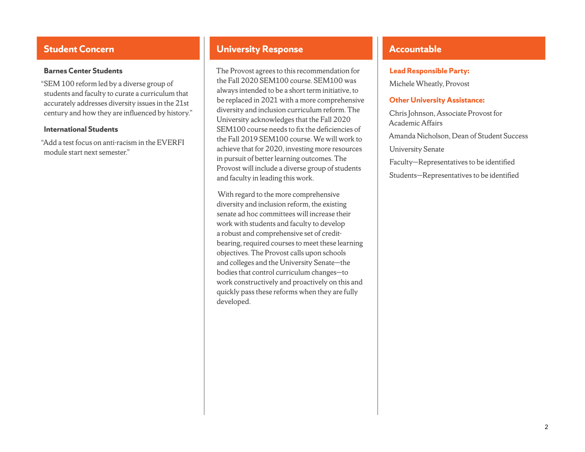"SEM 100 reform led by a diverse group of students and faculty to curate a curriculum that accurately addresses diversity issues in the 21st century and how they are influenced by history."

#### **International Students**

"Add a test focus on anti-racism in the EVERFI module start next semester."

# **Student Concern With Concerned and Conservative University Response and Conservative Response and Accountable**

The Provost agrees to this recommendation for the Fall 2020 SEM100 course. SEM100 was always intended to be a short term initiative, to be replaced in 2021 with a more comprehensive diversity and inclusion curriculum reform. The University acknowledges that the Fall 2020 SEM100 course needs to fix the deficiencies of the Fall 2019 SEM100 course. We will work to achieve that for 2020, investing more resources in pursuit of better learning outcomes. The Provost will include a diverse group of students and faculty in leading this work.

 With regard to the more comprehensive diversity and inclusion reform, the existing senate ad hoc committees will increase their work with students and faculty to develop a robust and comprehensive set of creditbearing, required courses to meet these learning objectives. The Provost calls upon schools and colleges and the University Senate-the bodies that control curriculum changes—to work constructively and proactively on this and quickly pass these reforms when they are fully developed.

#### **Lead Responsible Party:**

Michele Wheatly, Provost

### **Other University Assistance:**

Chris Johnson, Associate Provost for Academic Affairs Amanda Nicholson, Dean of Student Success **University Senate** Faculty—Representatives to be identified Students—Representatives to be identified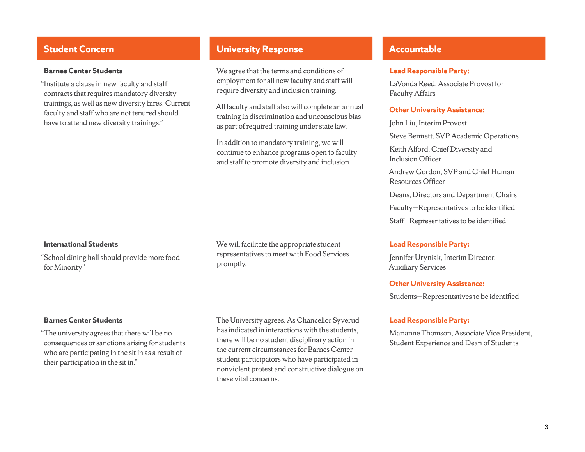**International Students** 

**Barnes Center Students**

their participation in the sit in."

for Minority"

"School dining hall should provide more food

"The university agrees that there will be no consequences or sanctions arising for students who are participating in the sit in as a result of

"Institute a clause in new faculty and staff contracts that requires mandatory diversity trainings, as well as new diversity hires. Current faculty and staff who are not tenured should have to attend new diversity trainings."

# **Student Concern With Concerned and Conservative University Response and Accountable**

these vital concerns.

We agree that the terms and conditions of employment for all new faculty and staff will require diversity and inclusion training.

All faculty and staff also will complete an annual training in discrimination and unconscious bias as part of required training under state law.

# **Lead Responsible Party:**

LaVonda Reed, Associate Provost for Faculty Affairs

### **Other University Assistance:**

| as part of required training under state law.<br>In addition to mandatory training, we will<br>continue to enhance programs open to faculty<br>and staff to promote diversity and inclusion.                                                                                                            | John Liu, Interim Provost<br>Steve Bennett, SVP Academic Operations<br>Keith Alford, Chief Diversity and<br><b>Inclusion Officer</b><br>Andrew Gordon, SVP and Chief Human<br><b>Resources Officer</b><br>Deans, Directors and Department Chairs<br>Faculty-Representatives to be identified<br>Staff-Representatives to be identified |
|---------------------------------------------------------------------------------------------------------------------------------------------------------------------------------------------------------------------------------------------------------------------------------------------------------|----------------------------------------------------------------------------------------------------------------------------------------------------------------------------------------------------------------------------------------------------------------------------------------------------------------------------------------|
| We will facilitate the appropriate student<br>representatives to meet with Food Services<br>promptly.                                                                                                                                                                                                   | <b>Lead Responsible Party:</b><br>Jennifer Uryniak, Interim Director,<br><b>Auxiliary Services</b><br><b>Other University Assistance:</b><br>Students-Representatives to be identified                                                                                                                                                 |
| The University agrees. As Chancellor Syverud<br>has indicated in interactions with the students,<br>there will be no student disciplinary action in<br>the current circumstances for Barnes Center<br>student participators who have participated in<br>nonviolent protest and constructive dialogue on | <b>Lead Responsible Party:</b><br>Marianne Thomson, Associate Vice President,<br>Student Experience and Dean of Students                                                                                                                                                                                                               |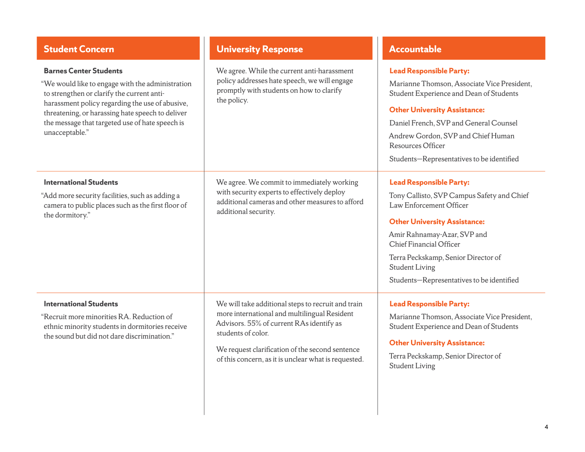| <b>Student Concern</b>                                                                                                                                                                                                                                                                                      | <b>University Response</b>                                                                                                                                                                                                                                                      | <b>Accountable</b>                                                                                                                                                                                                                                                                                                    |
|-------------------------------------------------------------------------------------------------------------------------------------------------------------------------------------------------------------------------------------------------------------------------------------------------------------|---------------------------------------------------------------------------------------------------------------------------------------------------------------------------------------------------------------------------------------------------------------------------------|-----------------------------------------------------------------------------------------------------------------------------------------------------------------------------------------------------------------------------------------------------------------------------------------------------------------------|
| <b>Barnes Center Students</b><br>"We would like to engage with the administration<br>to strengthen or clarify the current anti-<br>harassment policy regarding the use of abusive,<br>threatening, or harassing hate speech to deliver<br>the message that targeted use of hate speech is<br>unacceptable." | We agree. While the current anti-harassment<br>policy addresses hate speech, we will engage<br>promptly with students on how to clarify<br>the policy.                                                                                                                          | <b>Lead Responsible Party:</b><br>Marianne Thomson, Associate Vice President,<br>Student Experience and Dean of Students<br><b>Other University Assistance:</b><br>Daniel French, SVP and General Counsel<br>Andrew Gordon, SVP and Chief Human<br>Resources Officer<br>Students-Representatives to be identified     |
| <b>International Students</b><br>"Add more security facilities, such as adding a<br>camera to public places such as the first floor of<br>the dormitory."                                                                                                                                                   | We agree. We commit to immediately working<br>with security experts to effectively deploy<br>additional cameras and other measures to afford<br>additional security.                                                                                                            | <b>Lead Responsible Party:</b><br>Tony Callisto, SVP Campus Safety and Chief<br>Law Enforcement Officer<br><b>Other University Assistance:</b><br>Amir Rahnamay-Azar, SVP and<br>Chief Financial Officer<br>Terra Peckskamp, Senior Director of<br><b>Student Living</b><br>Students-Representatives to be identified |
| <b>International Students</b><br>"Recruit more minorities RA. Reduction of<br>ethnic minority students in dormitories receive<br>the sound but did not dare discrimination."                                                                                                                                | We will take additional steps to recruit and train<br>more international and multilingual Resident<br>Advisors. 55% of current RAs identify as<br>students of color.<br>We request clarification of the second sentence<br>of this concern, as it is unclear what is requested. | <b>Lead Responsible Party:</b><br>Marianne Thomson, Associate Vice President,<br>Student Experience and Dean of Students<br><b>Other University Assistance:</b><br>Terra Peckskamp, Senior Director of<br><b>Student Living</b>                                                                                       |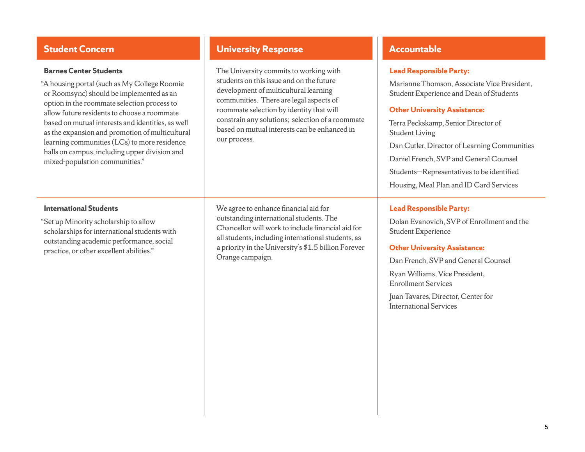"A housing portal (such as My College Roomie or Roomsync) should be implemented as an option in the roommate selection process to allow future residents to choose a roommate based on mutual interests and identities, as well as the expansion and promotion of multicultural learning communities (LCs) to more residence halls on campus, including upper division and mixed-population communities."

# **Student Concern With Concerned and Conservative University Response and Conservative Response and Accountable**

The University commits to working with students on this issue and on the future development of multicultural learning communities. There are legal aspects of roommate selection by identity that will constrain any solutions; selection of a roommate based on mutual interests can be enhanced in our process.

#### **International Students**

"Set up Minority scholarship to allow scholarships for international students with outstanding academic performance, social practice, or other excellent abilities."

We agree to enhance financial aid for outstanding international students. The Chancellor will work to include financial aid for all students, including international students, as a priority in the University's  $$1.5$  billion Forever Orange campaign.

### **Lead Responsible Party:**

Marianne Thomson, Associate Vice President, Student Experience and Dean of Students

#### **Other University Assistance:**

Terra Peckskamp, Senior Director of Student Living Dan Cutler, Director of Learning Communities Daniel French, SVP and General Counsel Students—Representatives to be identified Housing, Meal Plan and ID Card Services

### **Lead Responsible Party:**

Dolan Evanovich, SVP of Enrollment and the Student Experience

#### **Other University Assistance:**

Dan French, SVP and General Counsel

Ryan Williams, Vice President, Enrollment Services

Juan Tavares, Director, Center for International Services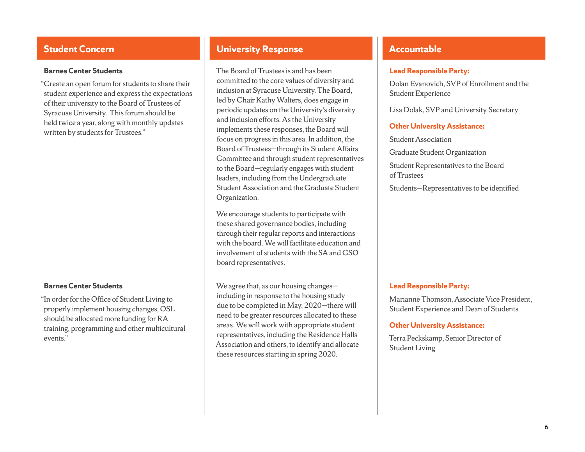"Create an open forum for students to share their student experience and express the expectations of their university to the Board of Trustees of Syracuse University. This forum should be held twice a year, along with monthly updates written by students for Trustees."

#### **Barnes Center Students**

"In order for the Office of Student Living to properly implement housing changes, OSL should be allocated more funding for RA training, programming and other multicultural events."

# **Student Concern With Concerned and Conservative University Response and Conservative Response and Accountable**

The Board of Trustees is and has been committed to the core values of diversity and inclusion at Syracuse University. The Board, led by Chair Kathy Walters, does engage in periodic updates on the University's diversity and inclusion efforts. As the University implements these responses, the Board will focus on progress in this area. In addition, the Board of Trustees—through its Student Affairs Committee and through student representatives to the Board—regularly engages with student leaders, including from the Undergraduate Student Association and the Graduate Student Organization.

We encourage students to participate with these shared governance bodies, including through their regular reports and interactions with the board. We will facilitate education and involvement of students with the SA and GSO board representatives.

We agree that, as our housing changes including in response to the housing study due to be completed in May, 2020—there will need to be greater resources allocated to these areas. We will work with appropriate student representatives, including the Residence Halls Association and others, to identify and allocate these resources starting in spring 2020.

#### **Lead Responsible Party:**

Dolan Evanovich, SVP of Enrollment and the Student Experience

Lisa Dolak, SVP and University Secretary

#### **Other University Assistance:**

Student Association

Graduate Student Organization

Student Representatives to the Board of Trustees

Students—Representatives to be identified

### **Lead Responsible Party:**

Marianne Thomson, Associate Vice President, Student Experience and Dean of Students

#### **Other University Assistance:**

Terra Peckskamp, Senior Director of Student Living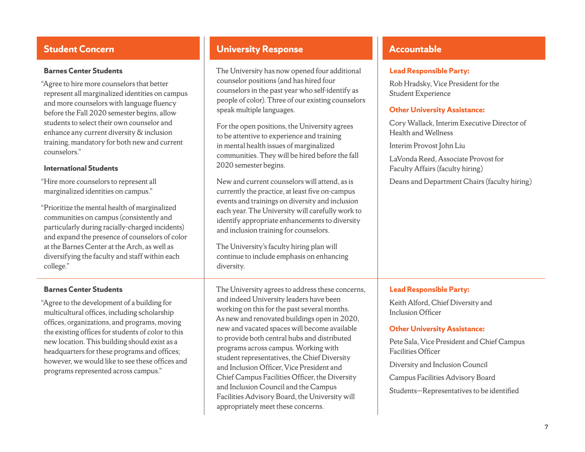"Agree to hire more counselors that better represent all marginalized identities on campus and more counselors with language fluency before the Fall 2020 semester begins, allow students to select their own counselor and enhance any current diversity & inclusion training, mandatory for both new and current counselors."

### **International Students**

"Hire more counselors to represent all marginalized identities on campus."

"Prioritize the mental health of marginalized communities on campus (consistently and particularly during racially-charged incidents) and expand the presence of counselors of color at the Barnes Center at the Arch, as well as diversifying the faculty and staff within each college."

### **Barnes Center Students**

"Agree to the development of a building for multicultural offices, including scholarship offices, organizations, and programs, moving the existing offices for students of color to this new location. This building should exist as a headquarters for these programs and offices; however, we would like to see these offices and programs represented across campus."

# **Student Concern With Concerned and Conservative University Response and Conservative Response and Accountable**

The University has now opened four additional counselor positions (and has hired four counselors in the past year who self-identify as people of color). Three of our existing counselors speak multiple languages.

For the open positions, the University agrees to be attentive to experience and training in mental health issues of marginalized communities. They will be hired before the fall 2020 semester begins.

New and current counselors will attend, as is currently the practice, at least five on-campus events and trainings on diversity and inclusion each year. The University will carefully work to identify appropriate enhancements to diversity and inclusion training for counselors.

The University's faculty hiring plan will continue to include emphasis on enhancing diversity.

The University agrees to address these concerns, and indeed University leaders have been working on this for the past several months. As new and renovated buildings open in 2020, new and vacated spaces will become available to provide both central hubs and distributed programs across campus. Working with student representatives, the Chief Diversity and Inclusion Officer, Vice President and Chief Campus Facilities Officer, the Diversity and Inclusion Council and the Campus Facilities Advisory Board, the University will appropriately meet these concerns.

### **Lead Responsible Party:**

Rob Hradsky, Vice President for the Student Experience

### **Other University Assistance:**

Cory Wallack, Interim Executive Director of Health and Wellness

Interim Provost John Liu

LaVonda Reed, Associate Provost for Faculty Affairs (faculty hiring)

Deans and Department Chairs (faculty hiring)

### **Lead Responsible Party:**

Keith Alford, Chief Diversity and Inclusion Officer

### **Other University Assistance:**

Pete Sala, Vice President and Chief Campus Facilities Officer

Diversity and Inclusion Council

Campus Facilities Advisory Board

Students—Representatives to be identified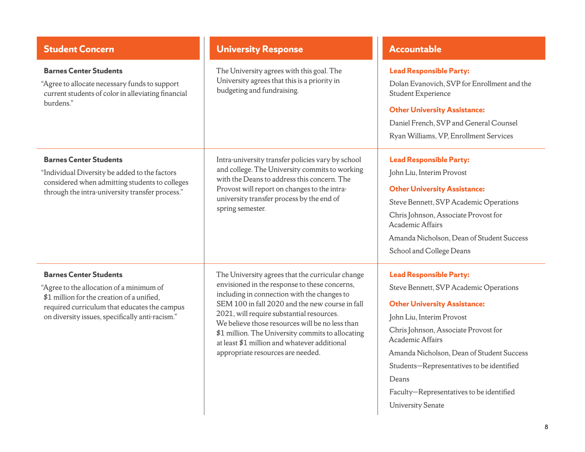| <b>Student Concern</b>                                                                                                                                                                                                     | <b>University Response</b>                                                                                                                                                                                                                                                                                                                                                                                                                    | <b>Accountable</b>                                                                                                                                                                                                                                                                                                                                                                  |
|----------------------------------------------------------------------------------------------------------------------------------------------------------------------------------------------------------------------------|-----------------------------------------------------------------------------------------------------------------------------------------------------------------------------------------------------------------------------------------------------------------------------------------------------------------------------------------------------------------------------------------------------------------------------------------------|-------------------------------------------------------------------------------------------------------------------------------------------------------------------------------------------------------------------------------------------------------------------------------------------------------------------------------------------------------------------------------------|
| <b>Barnes Center Students</b><br>"Agree to allocate necessary funds to support<br>current students of color in alleviating financial<br>burdens."                                                                          | The University agrees with this goal. The<br>University agrees that this is a priority in<br>budgeting and fundraising.                                                                                                                                                                                                                                                                                                                       | <b>Lead Responsible Party:</b><br>Dolan Evanovich, SVP for Enrollment and the<br><b>Student Experience</b><br><b>Other University Assistance:</b><br>Daniel French, SVP and General Counsel<br>Ryan Williams, VP, Enrollment Services                                                                                                                                               |
| <b>Barnes Center Students</b><br>"Individual Diversity be added to the factors<br>considered when admitting students to colleges<br>through the intra-university transfer process."                                        | Intra-university transfer policies vary by school<br>and college. The University commits to working<br>with the Deans to address this concern. The<br>Provost will report on changes to the intra-<br>university transfer process by the end of<br>spring semester.                                                                                                                                                                           | <b>Lead Responsible Party:</b><br>John Liu, Interim Provost<br><b>Other University Assistance:</b><br>Steve Bennett, SVP Academic Operations<br>Chris Johnson, Associate Provost for<br>Academic Affairs<br>Amanda Nicholson, Dean of Student Success<br>School and College Deans                                                                                                   |
| <b>Barnes Center Students</b><br>"Agree to the allocation of a minimum of<br>\$1 million for the creation of a unified,<br>required curriculum that educates the campus<br>on diversity issues, specifically anti-racism." | The University agrees that the curricular change<br>envisioned in the response to these concerns,<br>including in connection with the changes to<br>SEM 100 in fall 2020 and the new course in fall<br>2021, will require substantial resources.<br>We believe those resources will be no less than<br>\$1 million. The University commits to allocating<br>at least \$1 million and whatever additional<br>appropriate resources are needed. | <b>Lead Responsible Party:</b><br>Steve Bennett, SVP Academic Operations<br><b>Other University Assistance:</b><br>John Liu, Interim Provost<br>Chris Johnson, Associate Provost for<br>Academic Affairs<br>Amanda Nicholson, Dean of Student Success<br>Students-Representatives to be identified<br>Deans<br>Faculty-Representatives to be identified<br><b>University Senate</b> |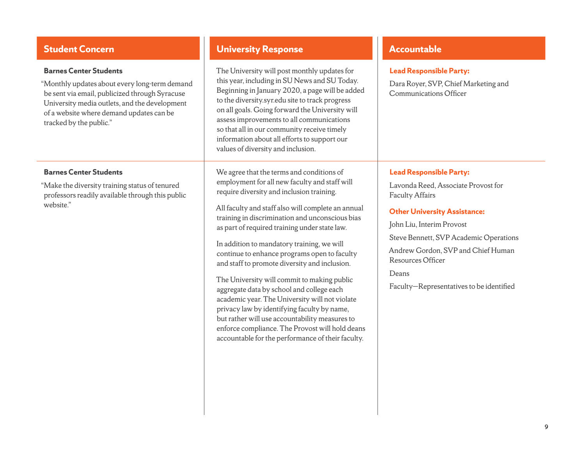"Monthly updates about every long-term demand be sent via email, publicized through Syracuse University media outlets, and the development of a website where demand updates can be tracked by the public."

#### **Barnes Center Students**

"Make the diversity training status of tenured professors readily available through this public website."

# **Student Concern With Concerned and Conservative University Response and Conservative Response and Accountable**

```
The University will post monthly updates for
this year, including in SU News and SU Today. 
Beginning in January 2020, a page will be added 
to the diversity.syr.edu site to track progress 
on all goals. Going forward the University will
assess improvements to all communications 
so that all in our community receive timely 
information about all efforts to support our 
values of diversity and inclusion.
```
We agree that the terms and conditions of employment for all new faculty and staff will require diversity and inclusion training.

All faculty and staff also will complete an annual training in discrimination and unconscious bias as part of required training under state law.

In addition to mandatory training, we will continue to enhance programs open to faculty and staff to promote diversity and inclusion.

The University will commit to making public aggregate data by school and college each academic year. The University will not violate privacy law by identifying faculty by name, but rather will use accountability measures to enforce compliance. The Provost will hold deans accountable for the performance of their faculty.

#### **Lead Responsible Party:**

Dara Royer, SVP, Chief Marketing and Communications Officer

### **Lead Responsible Party:**

Lavonda Reed, Associate Provost for Faculty Affairs

#### **Other University Assistance:**

John Liu, Interim Provost

Steve Bennett, SVP Academic Operations

Andrew Gordon, SVP and Chief Human Resources Officer

Deans

Faculty—Representatives to be identified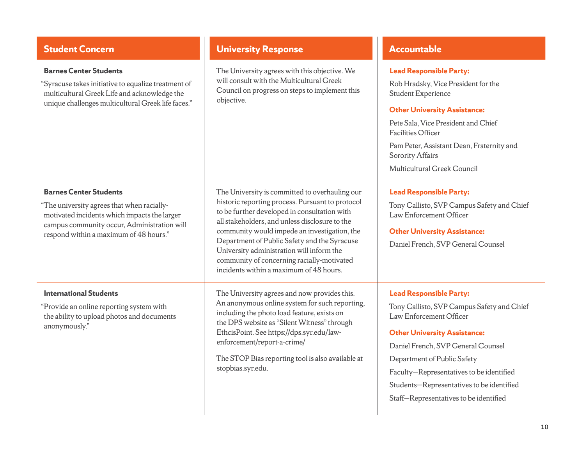| <b>Student Concern</b>                                                                                                                                                                                               | <b>University Response</b>                                                                                                                                                                                                                                                                                                                                                                                                                 | <b>Accountable</b>                                                                                                                                                                                                                                                                                                                                     |
|----------------------------------------------------------------------------------------------------------------------------------------------------------------------------------------------------------------------|--------------------------------------------------------------------------------------------------------------------------------------------------------------------------------------------------------------------------------------------------------------------------------------------------------------------------------------------------------------------------------------------------------------------------------------------|--------------------------------------------------------------------------------------------------------------------------------------------------------------------------------------------------------------------------------------------------------------------------------------------------------------------------------------------------------|
| <b>Barnes Center Students</b><br>"Syracuse takes initiative to equalize treatment of<br>multicultural Greek Life and acknowledge the<br>unique challenges multicultural Greek life faces."                           | The University agrees with this objective. We<br>will consult with the Multicultural Greek<br>Council on progress on steps to implement this<br>objective.                                                                                                                                                                                                                                                                                 | <b>Lead Responsible Party:</b><br>Rob Hradsky, Vice President for the<br>Student Experience<br><b>Other University Assistance:</b><br>Pete Sala, Vice President and Chief<br><b>Facilities Officer</b><br>Pam Peter, Assistant Dean, Fraternity and<br>Sorority Affairs<br>Multicultural Greek Council                                                 |
| <b>Barnes Center Students</b><br>"The university agrees that when racially-<br>motivated incidents which impacts the larger<br>campus community occur, Administration will<br>respond within a maximum of 48 hours." | The University is committed to overhauling our<br>historic reporting process. Pursuant to protocol<br>to be further developed in consultation with<br>all stakeholders, and unless disclosure to the<br>community would impede an investigation, the<br>Department of Public Safety and the Syracuse<br>University administration will inform the<br>community of concerning racially-motivated<br>incidents within a maximum of 48 hours. | <b>Lead Responsible Party:</b><br>Tony Callisto, SVP Campus Safety and Chief<br>Law Enforcement Officer<br><b>Other University Assistance:</b><br>Daniel French, SVP General Counsel                                                                                                                                                                   |
| <b>International Students</b><br>"Provide an online reporting system with<br>the ability to upload photos and documents<br>anonymously."                                                                             | The University agrees and now provides this.<br>An anonymous online system for such reporting,<br>including the photo load feature, exists on<br>the DPS website as "Silent Witness" through<br>EthcisPoint. See https://dps.syr.edu/law-<br>enforcement/report-a-crime/<br>The STOP Bias reporting tool is also available at<br>stopbias.syr.edu.                                                                                         | <b>Lead Responsible Party:</b><br>Tony Callisto, SVP Campus Safety and Chief<br>Law Enforcement Officer<br><b>Other University Assistance:</b><br>Daniel French, SVP General Counsel<br>Department of Public Safety<br>Faculty-Representatives to be identified<br>Students-Representatives to be identified<br>Staff-Representatives to be identified |